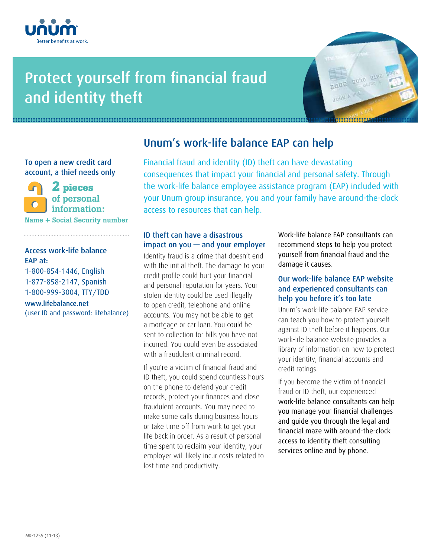

# Protect yourself from financial fraud and identity theft



To open a new credit card account, a thief needs only

**2 pieces** of personal information: Name **+** Social Security number

### Access work-life balance EAP at:

1-800-854-1446, English 1-877-858-2147, Spanish 1-800-999-3004, TTY/TDD

www.lifebalance.net (user ID and password: lifebalance)

# Unum's work-life balance EAP can help

Financial fraud and identity (ID) theft can have devastating consequences that impact your financial and personal safety. Through the work-life balance employee assistance program (EAP) included with your Unum group insurance, you and your family have around-the-clock access to resources that can help.

### ID theft can have a disastrous impact on you — and your employer

Identity fraud is a crime that doesn't end with the initial theft. The damage to your credit profile could hurt your financial and personal reputation for years. Your stolen identity could be used illegally to open credit, telephone and online accounts. You may not be able to get a mortgage or car loan. You could be sent to collection for bills you have not incurred. You could even be associated with a fraudulent criminal record.

If you're a victim of financial fraud and ID theft, you could spend countless hours on the phone to defend your credit records, protect your finances and close fraudulent accounts. You may need to make some calls during business hours or take time off from work to get your life back in order. As a result of personal time spent to reclaim your identity, your employer will likely incur costs related to lost time and productivity.

Work-life balance EAP consultants can recommend steps to help you protect yourself from financial fraud and the damage it causes.

### Our work-life balance EAP website and experienced consultants can help you before it's too late

Unum's work-life balance EAP service can teach you how to protect yourself against ID theft before it happens. Our work-life balance website provides a library of information on how to protect your identity, financial accounts and credit ratings.

If you become the victim of financial fraud or ID theft, our experienced work-life balance consultants can help you manage your financial challenges and guide you through the legal and financial maze with around-the-clock access to identity theft consulting services online and by phone.